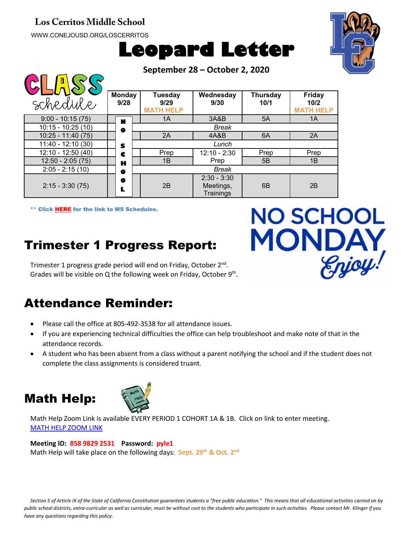#### **Los Cerritos Middle School**

WWW.CONEJOUSD.ORG/LOSCERRITOS

 $\bigcap \bigcap \bigcap \bigcap \bigcap \bigcap \bigcap$ 





**NO SCHOOL** 

Enjoy!

**MONDA** 

**September 28 – October 2, 2020**

| $\widetilde{\mathcal{S}}$ |                       |       |                                            |                                         |                         |                                           |  |
|---------------------------|-----------------------|-------|--------------------------------------------|-----------------------------------------|-------------------------|-------------------------------------------|--|
| schedule                  | <b>Monday</b><br>9/28 |       | <b>Tuesday</b><br>9/29<br><b>MATH HELP</b> | Wednesday<br>9/30                       | <b>Thursday</b><br>10/1 | <b>Friday</b><br>10/2<br><b>MATH HELP</b> |  |
| $9:00 - 10:15(75)$        | N                     |       | 1A                                         | 3A&B                                    | 5A                      | 1A                                        |  |
| $10:15 - 10:25(10)$       | $\bullet$             |       | Break                                      |                                         |                         |                                           |  |
| $10:25 - 11:40(75)$       |                       |       | 2A                                         | 4A&B                                    | 6A                      | 2A                                        |  |
| $11:40 - 12:10(30)$       | Lunch<br>S            |       |                                            |                                         |                         |                                           |  |
| $12:10 - 12:50(40)$       | c                     |       | Prep                                       | $12:10 - 2:30$                          | Prep                    | Prep                                      |  |
| $12:50 - 2:05(75)$        | н                     |       | 1B                                         | Prep                                    | 5B                      | 1B                                        |  |
| $2:05 - 2:15(10)$         | 0                     | Break |                                            |                                         |                         |                                           |  |
| $2:15 - 3:30(75)$         | o                     |       | 2B                                         | $2:30 - 3:30$<br>Meetings,<br>Trainings | 6 <sub>B</sub>          | 2B                                        |  |

\*\* Click [HERE](https://www.conejousd.org/Portals/41/2020-2021/Middle%20School%20Remote%20Calendar_fnl.pdf?ver=2020-08-25-121556-487) for the link to MS Schedules.

# Trimester 1 Progress Report:

Trimester 1 progress grade period will end on Friday, October 2<sup>nd</sup>. Grades will be visible on Q the following week on Friday, October 9<sup>th</sup>.

### Attendance Reminder:

- Please call the office at 805-492-3538 for all attendance issues.
- If you are experiencing technical difficulties the office can help troubleshoot and make note of that in the attendance records.
- A student who has been absent from a class without a parent notifying the school and if the student does not complete the class assignments is considered truant.

### Math Help:



Math Help Zoom Link is available EVERY PERIOD 1 COHORT 1A & 1B. Click on link to enter meeting. [MATH HELP ZOOM LINK](https://conejousd-org.zoom.us/j/85898292531?pwd=dE1yRk5Ic0Y0SEo2SWQzbnRRWnBEZz09)

#### **Meeting ID: 858 9829 2531 Password: pyle1**

Math Help will take place on the following days: **Sept. 29<sup>th</sup> & Oct. 2<sup>nd</sup>** 

*Section 5 of Article IX of the State of California Constitution guarantees students a "free public education." This means that all educational activities carried on by public school districts, extra-curricular as well as curricular, must be without cost to the students who participate in such activities. Please contact Mr. Klinger if you have any questions regarding this policy.*